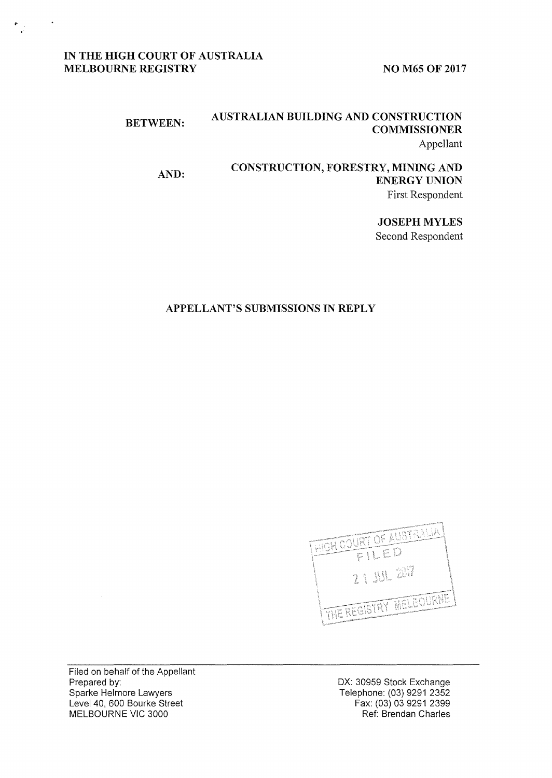## IN THE HIGH COURT OF AUSTRALIA MELBOURNE REGISTRY NO M65 OF 2017

### BETWEEN: AUSTRALIAN BUILDING AND CONSTRUCTION **COMMISSIONER** Appellant

#### AND: CONSTRUCTION, FORESTRY, MINING AND ENERGY UNION First Respondent

JOSEPH MYLES Second Respondent

## APPELLANT'S SUBMISSIONS IN REPLY



Filed on behalf of the Appellant Prepared by: Sparke Helmore Lawyers Level 40, 600 Bourke Street MELBOURNE VIC 3000

DX: 30959 Stock Exchange Telephone: (03) 9291 2352 Fax: (03) 03 9291 2399 Ref: Brendan Charles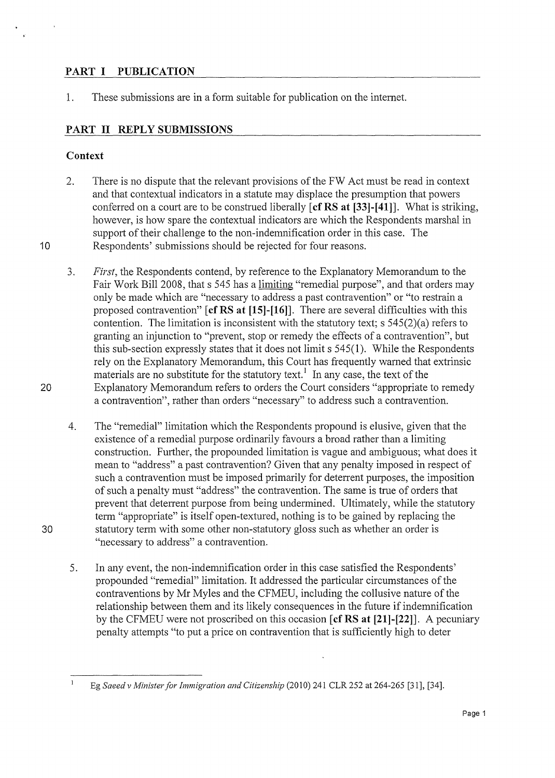# **PART I PUBLICATION**

1. These submissions are in a form suitable for publication on the intemet.

# **PART 11 REPLY SUBMISSIONS**

## **Context**

- 2. There is no dispute that the relevant provisions of the FW Act must be read in context and that contextual indicators in a statute may displace the presumption that powers conferred on a court are to be construed liberally **[cfRS at [33]-[41]].** What is striking, however, is how spare the contextual indicators are which the Respondents marshal in support of their challenge to the non-indemnification order in this case. The 10 Respondents' submissions should be rejected for four reasons.
- 3. *First,* the Respondents contend, by reference to the Explanatory Memorandum to the Fair Work Bi112008, that s 545 has a limiting "remedial purpose", and that orders may only be made which are "necessary to address a past contravention" or "to restrain a proposed contravention" **[cfRS at [15]-[16]].** There are several difficulties with this contention. The limitation is inconsistent with the statutory text; s 545(2)(a) refers to granting an injunction to "prevent, stop or remedy the effects of a contravention", but this sub-section expressly states that it does not limit s 545(1). While the Respondents rely on the Explanatory Memorandum, this Court has frequently warned that extrinsic materials are no substitute for the statutory text.<sup>1</sup> In any case, the text of the 20 Explanatory Memorandum refers to orders the Court considers "appropriate to remedy a contravention", rather than orders "necessary" to address such a contravention.
- 4. The "remedial" limitation which the Respondents propound is elusive, given that the existence of a remedial purpose ordinarily favours a broad rather than a limiting construction. Further, the propounded limitation is vague and ambiguous; what does it mean to "address" a past contravention? Given that any penalty imposed in respect of such a contravention must be imposed primarily for deterrent purposes, the imposition of such a penalty must "address" the contravention. The same is true of orders that prevent that deterrent purpose from being undermined. Ultimately, while the statutory term "appropriate" is itself open-textured, nothing is to be gained by replacing the 30 statutory term with some other non-statutory gloss such as whether an order is "necessary to address" a contravention.
	- 5. In any event, the non-indemnification order in this case satisfied the Respondents' propounded "remedial" limitation. It addressed the particular circumstances of the contraventions by Mr Myles and the CFMEU, including the collusive nature of the relationship between them and its likely consequences in the future if indemnification by the CFMEU were not proscribed on this occasion **[cfRS at [21]-[22]].** A pecuniary penalty attempts "to put a price on contravention that is sufficiently high to deter

 $\overline{1}$ Eg Saeed v Minister for Immigration and Citizenship (2010) 241 CLR 252 at 264-265 [31], [34].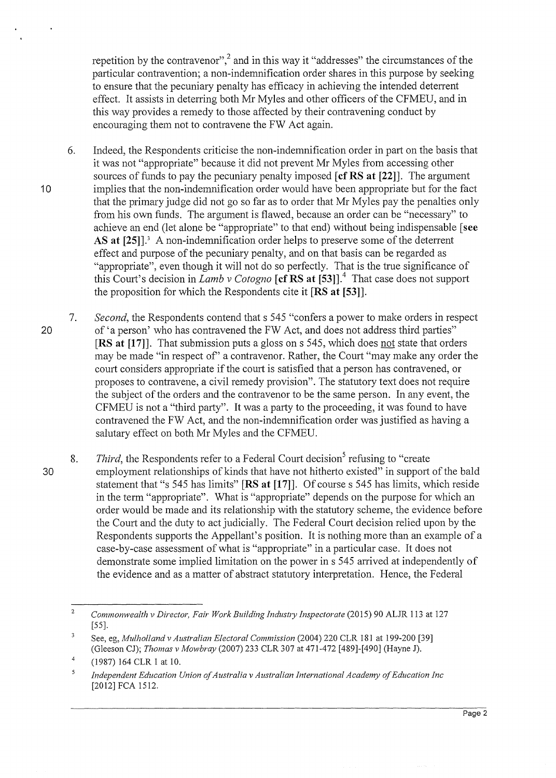repetition by the contravenor",<sup>2</sup> and in this way it "addresses" the circumstances of the particular contravention; a non-indemnification order shares in this purpose by seeking to ensure that the pecuniary penalty has efficacy in achieving the intended deterrent effect. It assists in deterring both Mr Myles and other officers of the CFMEU, and in this way provides a remedy to those affected by their contravening conduct by encouraging them not to contravene the FW Act again.

- 6. Indeed, the Respondents criticise the non-indemnification order in part on the basis that it was not "appropriate" because it did not prevent Mr Myles from accessing other sources of funds to pay the pecuniary penalty imposed **[cfRS at [22]].** The argument 10 implies that the non-indemnification order would have been appropriate but for the fact that the primary judge did not go so far as to order that Mr Myles pay the penalties only from his own funds. The argument is flawed, because an order can be "necessary" to achieve an end (let alone be "appropriate" to that end) without being indispensable **[see AS at [25]).3** A non-indemnification order helps to preserve some of the deterrent effect and purpose of the pecuniary penalty, and on that basis can be regarded as "appropriate", even though it will not do so perfectly. That is the true significance of this Court's decision in *Lamb v Cotogno* [ **cf RS at [53]].<sup>4</sup>**That case does not support the proposition for which the Respondents cite it **[RS at [53]].**
- 7. *Second,* the Respondents contend that s 545 "confers a power to make orders in respect 20 of 'a person' who has contravened the FW Act, and does not address third parties" **[RS at [17]].** That submission puts a gloss on s 545, which does not state that orders may be made "in respect of" a contravenor. Rather, the Court "may make any order the court considers appropriate if the court is satisfied that a person has contravened, or proposes to contravene, a civil remedy provision". The statutory text does not require the subject of the orders and the contravenor to be the same person. In any event, the CFMEU is not a "third party". It was a party to the proceeding, it was found to have contravened the FW Act, and the non-indemnification order was justified as having a salutary effect on both Mr Myles and the CFMEU.
- 8. *Third*, the Respondents refer to a Federal Court decision<sup>5</sup> refusing to "create" 30 employment relationships of kinds that have not hitherto existed" in support of the bald statement that "s 545 has limits" **[RS at [17]].** Of course s 545 has limits, which reside in the term "appropriate". What is "appropriate" depends on the purpose for which an order would be made and its relationship with the statutory scheme, the evidence before the Court and the duty to act judicially. The Federal Court decision relied upon by the Respondents supports the Appellant's position. It is nothing more than an example of a case-by-case assessment of what is "appropriate" in a particular case. It does not demonstrate some implied limitation on the power in s 545 arrived at independently of the evidence and as a matter of abstract statutory interpretation. Hence, the Federal

<sup>2</sup>  *Commonwealth v Director, Fair Work Building Industry Inspectorate (2015) 90 ALJR 113 at 127* [55).

<sup>3</sup> See, eg, *Mulholland v Australian Electoral Commission* (2004) 220 CLR 181 at 199-200 [39] (Gleeson CJ); *Thomas v Mowbray* (2007) 233 CLR 307 at 471-472 [489]-[490] (Hayne J).

<sup>4</sup>  (1987) 164 CLR I at 10.

<sup>5</sup> *Independent Education Union of Australia v Australian International Academy of Educationlnc*  [2012] FCA 1512.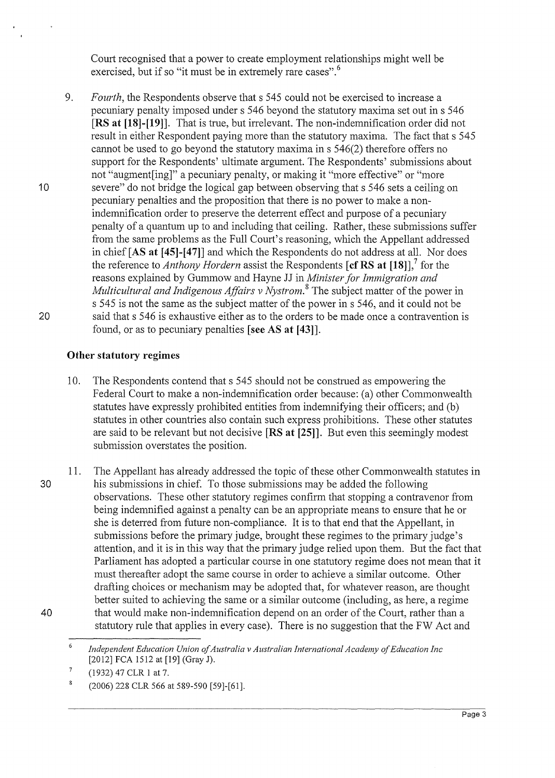Court recognised that a power to create employment relationships might well be exercised, but if so "it must be in extremely rare cases".<sup>6</sup>

9. *Fourth*, the Respondents observe that s 545 could not be exercised to increase a pecuniary penalty imposed under s 546 beyond the statutory maxima set out in s 546 **[RS at [18]-[19]].** That is true, but irrelevant. The non-indemnification order did not result in either Respondent paying more than the statutory maxima. The fact that s 545 cannot be used to go beyond the statutory maxima in s 546(2) therefore offers no support for the Respondents' ultimate argument. The Respondents' submissions about not "augment [ing]" a pecuniary penalty, or making it "more effective" or "more severe" do not bridge the logical gap between observing that s 546 sets a ceiling on pecuniary penalties and the proposition that there is no power to make a nonindemnification order to preserve the deterrent effect and purpose of a pecuniary penalty of a quantum up to and including that ceiling. Rather, these submissions suffer from the same problems as the Full Court's reasoning, which the Appellant addressed in chief **[AS at (45]-[47]]** and which the Respondents do not address at all. Nor does the reference to *Anthony Hordern* assist the Respondents [ **cf RS at [18]]/** for the reasons explained by Gummow and Hayne JJ in *Minister for Immigration and Multicultural and Indigenous Affairs v Nystrom. <sup>8</sup>*The subject matter of the power in s 545 is not the same as the subject matter of the power in s 546, and it could not be said that s 546 is exhaustive either as to the orders to be made once a contravention is found, or as to pecuniary penalties **[see AS at [43]].** 

## **Other statutory regimes**

10

20

- 10. The Respondents contend that s 545 should not be construed as empowering the Federal Court to make a non-indemnification order because: (a) other Commonwealth statutes have expressly prohibited entities from indemnifying their officers; and (b) statutes in other countries also contain such express prohibitions. These other statutes are said to be relevant but not decisive **[RS at (25]].** But even this seemingly modest submission overstates the position.
- 11. The Appellant has already addressed the topic of these other Commonwealth statutes in 30 his submissions in chief. To those submissions may be added the following observations. These other statutory regimes confirm that stopping a contravenor from being indemnified against a penalty can be an appropriate means to ensure that he or she is deterred from future non-compliance. It is to that end that the Appellant, in submissions before the primary judge, brought these regimes to the primary judge's attention, and it is in this way that the primary judge relied upon them. But the fact that Parliament has adopted a particular course in one statutory regime does not mean that it must thereafter adopt the same course in order to achieve a similar outcome. Other drafting choices or mechanism may be adopted that, for whatever reason, are thought better suited to achieving the same or a similar outcome (including, as here, a regime 40 that would make non-indemnification depend on an order of the Court, rather than a statutory rule that applies in every case). There is no suggestion that the FW Act and

<sup>6</sup> *Independent Education Union of Australia v Australian International Academy of Education !ne*  [2012] FCA 1512 at [19] (Gray J).

 $\overline{7}$ (1932) 47 CLR I at 7.

 $\overline{8}$ (2006) 228 CLR 566 at 589-590 [59]-[61].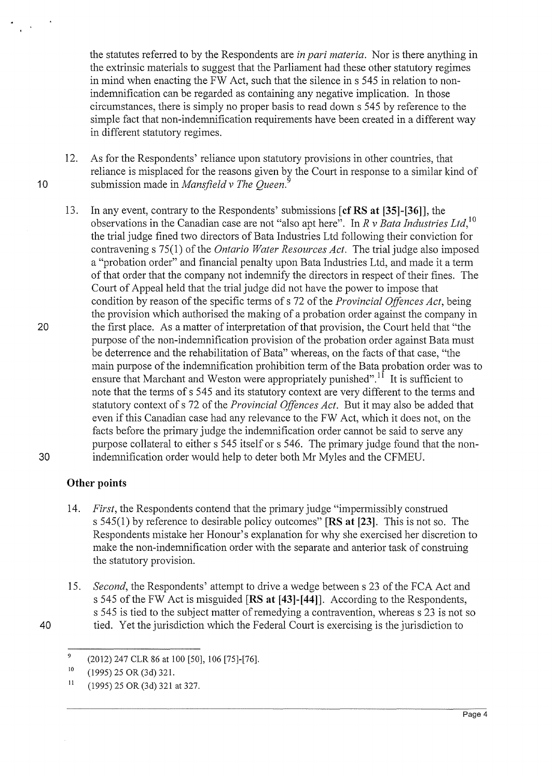the statutes referred to by the Respondents are *in pari materia.* Nor is there anything in the extrinsic materials to suggest that the Parliament had these other statutory regimes in mind when enacting the FW Act, such that the silence in s 545 in relation to nonindemnification can be regarded as containing any negative implication. In those circumstances, there is simply no proper basis to read downs 545 by reference to the simple fact that non-indenmification requirements have been created in a different way in different statutory regimes.

- 12. As for the Respondents' reliance upon statutory provisions in other countries, that reliance is misplaced for the reasons given by the Court in response to a similar kind of 1 0 submission made in *Mansfield v The Queen.* <sup>9</sup>
- 13. In any event, contrary to the Respondents' submissions **[cfRS at [35]-[36]],** the observations in the Canadian case are not "also apt here". In *R v Bata Industries Ltd,<sup>10</sup>* the trial judge fined two directors of Bata Industries Ltd following their conviction for contravening s 75(1) of the *Ontario Water Resources Act*. The trial judge also imposed a "probation order" and financial penalty upon Bata Industries Ltd, and made it a term of that order that the company not indemnify the directors in respect of their fines. The Court of Appeal held that the trial judge did not have the power to impose that condition by reason of the specific terms of s 72 of the *Provincial Offences Act,* being the provision which authorised the making of a probation order against the company in 20 the first place. As a matter of interpretation of that provision, the Court held that "the purpose of the non-indemnification provision of the probation order against Bata must be deterrence and the rehabilitation of Bata" whereas, on the facts of that case, "the main purpose of the indemnification prohibition term of the Bata probation order was to ensure that Marchant and Weston were appropriately punished".<sup>11</sup> It is sufficient to note that the terms of s 545 and its statutory context are very different to the terms and statutory context of s 72 of the *Provincial Offences Act.* But it may also be added that even if this Canadian case had any relevance to the FW Act, which it does not, on the facts before the primary judge the indemnification order cannot be said to serve any purpose collateral to either s 545 itself or s 546. The primary judge found that the non-30 indemnification order would help to deter both Mr Myles and the CFMEU.

# **Other points**

- 14. *First,* the Respondents contend that the primary judge "impermissibly construed s 545(1) by reference to desirable policy outcomes" **[RS at [23].** This is not so. The Respondents mistake her Honour's explanation for why she exercised her discretion to make the non-indemnification order with the separate and anterior task of construing the statutory provision.
- 15. *Second,* the Respondents' attempt to drive a wedge between s 23 of the FCA Act and s 545 of the FW Act is misguided **[RS at [43]-[44]].** According to the Respondents, s 545 is tied to the subject matter of remedying a contravention, whereas s 23 is not so 40 tied. Yet the jurisdiction which the Federal Court is exercising is the jurisdiction to

<sup>9</sup>  (2012) 247 CLR 86 at 100 [50], 106 [75]-[76].

<sup>10</sup>  (1995) 25 OR (3d) 321.

<sup>11</sup>  (1995) 25 OR (3d) 321 at 327.